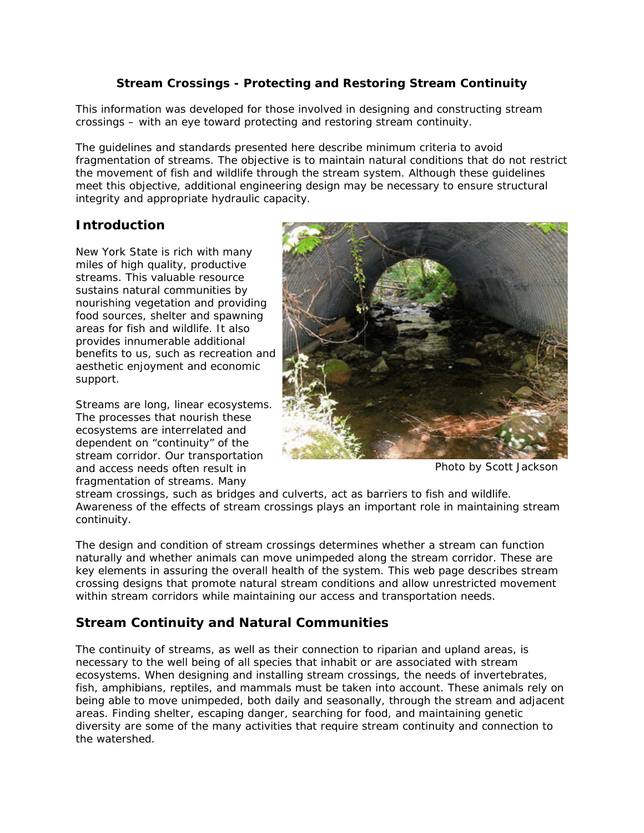### **Stream Crossings - Protecting and Restoring Stream Continuity**

This information was developed for those involved in designing and constructing stream crossings – with an eye toward protecting and restoring stream continuity.

The guidelines and standards presented here describe minimum criteria to avoid fragmentation of streams. The objective is to maintain natural conditions that do not restrict the movement of fish and wildlife through the stream system. Although these guidelines meet this objective, additional engineering design may be necessary to ensure structural integrity and appropriate hydraulic capacity.

## **Introduction**

New York State is rich with many miles of high quality, productive streams. This valuable resource sustains natural communities by nourishing vegetation and providing food sources, shelter and spawning areas for fish and wildlife. It also provides innumerable additional benefits to us, such as recreation and aesthetic enjoyment and economic support.

Streams are long, linear ecosystems. The processes that nourish these ecosystems are interrelated and dependent on "continuity" of the stream corridor. Our transportation and access needs often result in fragmentation of streams. Many



Photo by Scott Jackson

stream crossings, such as bridges and culverts, act as barriers to fish and wildlife. Awareness of the effects of stream crossings plays an important role in maintaining stream continuity.

The design and condition of stream crossings determines whether a stream can function naturally and whether animals can move unimpeded along the stream corridor. These are key elements in assuring the overall health of the system. This web page describes stream crossing designs that promote natural stream conditions and allow unrestricted movement within stream corridors while maintaining our access and transportation needs.

## **Stream Continuity and Natural Communities**

The continuity of streams, as well as their connection to riparian and upland areas, is necessary to the well being of all species that inhabit or are associated with stream ecosystems. When designing and installing stream crossings, the needs of invertebrates, fish, amphibians, reptiles, and mammals must be taken into account. These animals rely on being able to move unimpeded, both daily and seasonally, through the stream and adjacent areas. Finding shelter, escaping danger, searching for food, and maintaining genetic diversity are some of the many activities that require stream continuity and connection to the watershed.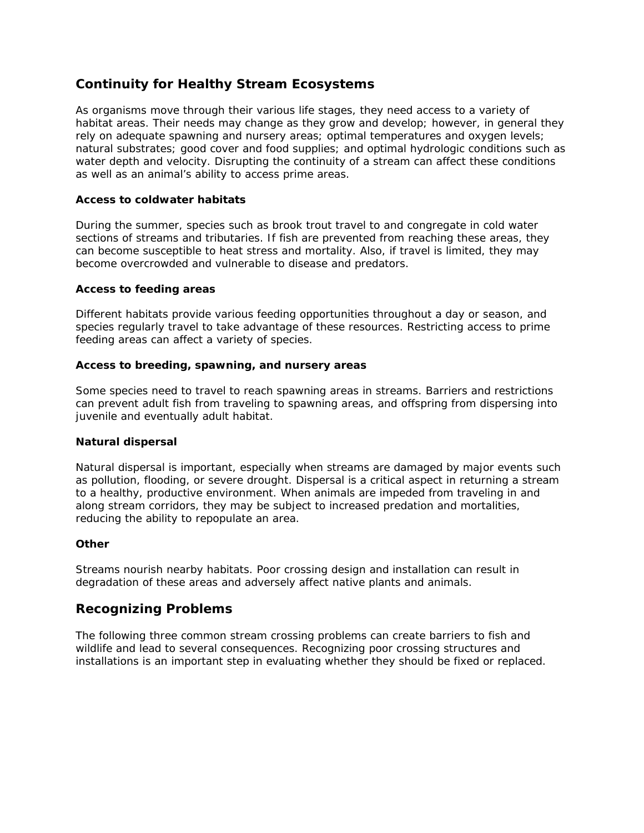# **Continuity for Healthy Stream Ecosystems**

As organisms move through their various life stages, they need access to a variety of habitat areas. Their needs may change as they grow and develop; however, in general they rely on adequate spawning and nursery areas; optimal temperatures and oxygen levels; natural substrates; good cover and food supplies; and optimal hydrologic conditions such as water depth and velocity. Disrupting the continuity of a stream can affect these conditions as well as an animal's ability to access prime areas.

#### **Access to coldwater habitats**

During the summer, species such as brook trout travel to and congregate in cold water sections of streams and tributaries. If fish are prevented from reaching these areas, they can become susceptible to heat stress and mortality. Also, if travel is limited, they may become overcrowded and vulnerable to disease and predators.

#### **Access to feeding areas**

Different habitats provide various feeding opportunities throughout a day or season, and species regularly travel to take advantage of these resources. Restricting access to prime feeding areas can affect a variety of species.

#### **Access to breeding, spawning, and nursery areas**

Some species need to travel to reach spawning areas in streams. Barriers and restrictions can prevent adult fish from traveling to spawning areas, and offspring from dispersing into juvenile and eventually adult habitat.

#### **Natural dispersal**

Natural dispersal is important, especially when streams are damaged by major events such as pollution, flooding, or severe drought. Dispersal is a critical aspect in returning a stream to a healthy, productive environment. When animals are impeded from traveling in and along stream corridors, they may be subject to increased predation and mortalities, reducing the ability to repopulate an area.

#### **Other**

Streams nourish nearby habitats. Poor crossing design and installation can result in degradation of these areas and adversely affect native plants and animals.

## **Recognizing Problems**

The following three common stream crossing problems can create barriers to fish and wildlife and lead to several consequences. Recognizing poor crossing structures and installations is an important step in evaluating whether they should be fixed or replaced.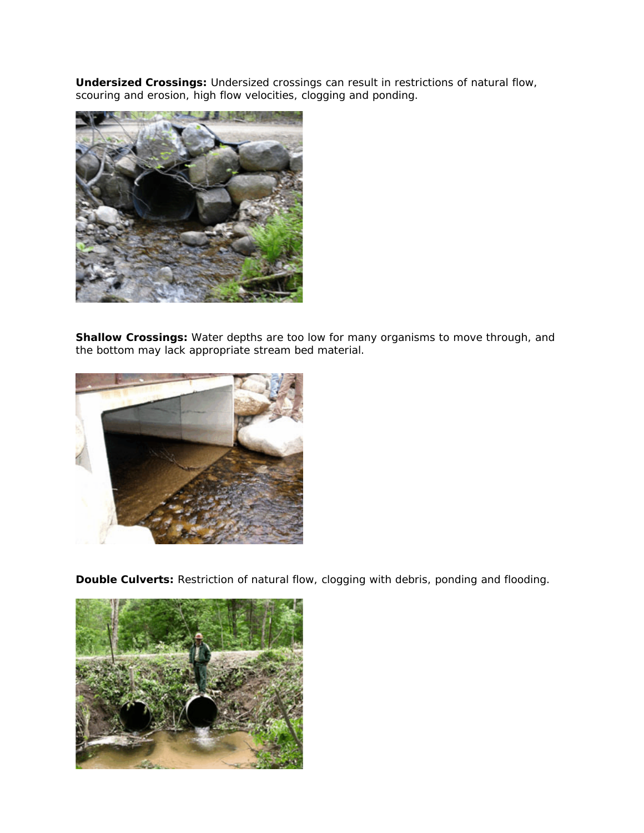**Undersized Crossings:** Undersized crossings can result in restrictions of natural flow, scouring and erosion, high flow velocities, clogging and ponding.



**Shallow Crossings:** Water depths are too low for many organisms to move through, and the bottom may lack appropriate stream bed material.



**Double Culverts:** Restriction of natural flow, clogging with debris, ponding and flooding.

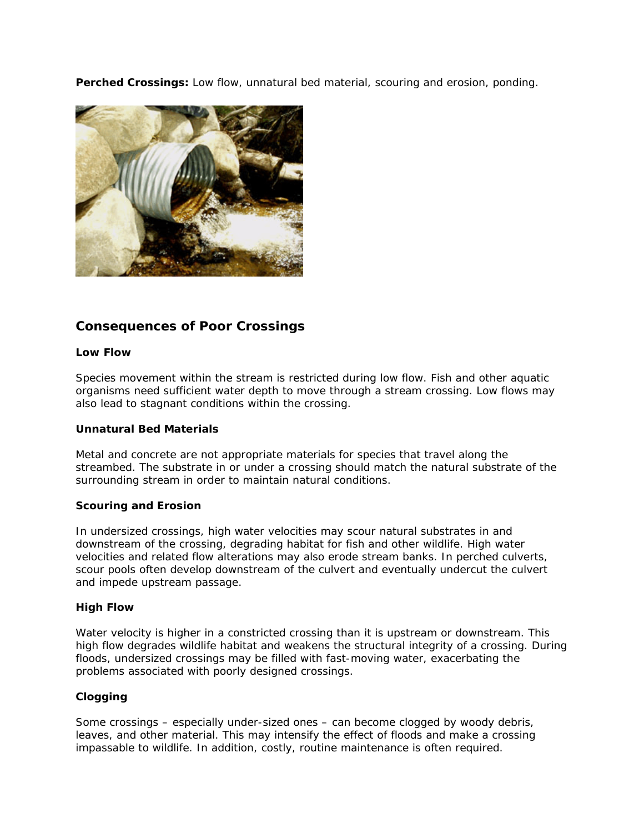**Perched Crossings:** Low flow, unnatural bed material, scouring and erosion, ponding.



# **Consequences of Poor Crossings**

#### **Low Flow**

Species movement within the stream is restricted during low flow. Fish and other aquatic organisms need sufficient water depth to move through a stream crossing. Low flows may also lead to stagnant conditions within the crossing.

#### **Unnatural Bed Materials**

Metal and concrete are not appropriate materials for species that travel along the streambed. The substrate in or under a crossing should match the natural substrate of the surrounding stream in order to maintain natural conditions.

#### **Scouring and Erosion**

In undersized crossings, high water velocities may scour natural substrates in and downstream of the crossing, degrading habitat for fish and other wildlife. High water velocities and related flow alterations may also erode stream banks. In perched culverts, scour pools often develop downstream of the culvert and eventually undercut the culvert and impede upstream passage.

#### **High Flow**

Water velocity is higher in a constricted crossing than it is upstream or downstream. This high flow degrades wildlife habitat and weakens the structural integrity of a crossing. During floods, undersized crossings may be filled with fast-moving water, exacerbating the problems associated with poorly designed crossings.

#### **Clogging**

Some crossings – especially under-sized ones – can become clogged by woody debris, leaves, and other material. This may intensify the effect of floods and make a crossing impassable to wildlife. In addition, costly, routine maintenance is often required.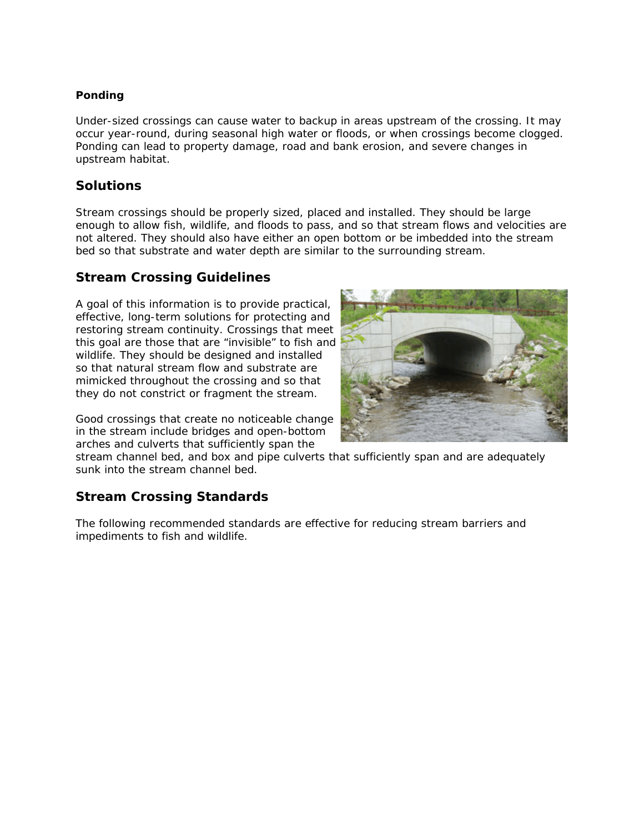### **Ponding**

Under-sized crossings can cause water to backup in areas upstream of the crossing. It may occur year-round, during seasonal high water or floods, or when crossings become clogged. Ponding can lead to property damage, road and bank erosion, and severe changes in upstream habitat.

### **Solutions**

Stream crossings should be properly sized, placed and installed. They should be large enough to allow fish, wildlife, and floods to pass, and so that stream flows and velocities are not altered. They should also have either an open bottom or be imbedded into the stream bed so that substrate and water depth are similar to the surrounding stream.

## **Stream Crossing Guidelines**

A goal of this information is to provide practical, effective, long-term solutions for protecting and restoring stream continuity. Crossings that meet this goal are those that are "invisible" to fish and wildlife. They should be designed and installed so that natural stream flow and substrate are mimicked throughout the crossing and so that they do not constrict or fragment the stream.

Good crossings that create no noticeable change in the stream include bridges and open-bottom arches and culverts that sufficiently span the



stream channel bed, and box and pipe culverts that sufficiently span and are adequately sunk into the stream channel bed.

# **Stream Crossing Standards**

The following recommended standards are effective for reducing stream barriers and impediments to fish and wildlife.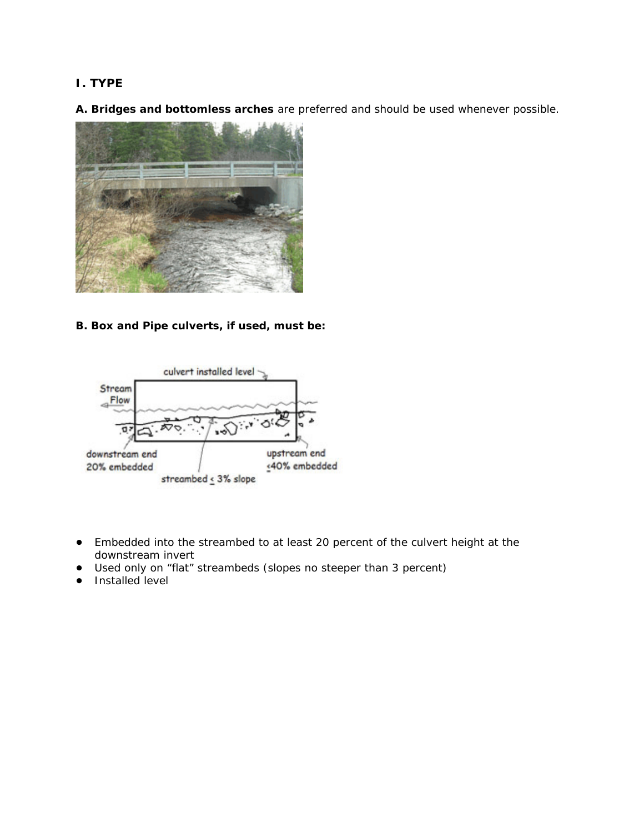## **I. TYPE**

**A. Bridges and bottomless arches** are preferred and should be used whenever possible.



**B. Box and Pipe culverts, if used, must be:**



- ! Embedded into the streambed to at least 20 percent of the culvert height at the downstream invert
- ! Used only on "flat" streambeds (slopes no steeper than 3 percent)
- Installed level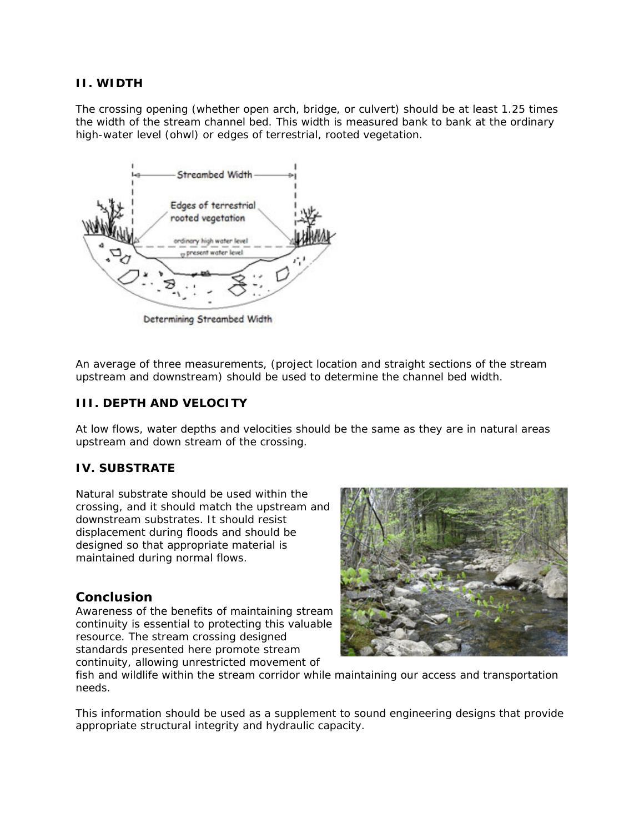### **II. WIDTH**

The crossing opening (whether open arch, bridge, or culvert) should be at least 1.25 times the width of the stream channel bed. This width is measured bank to bank at the ordinary high-water level (ohwl) or edges of terrestrial, rooted vegetation.



Determining Streambed Width

An average of three measurements, (project location and straight sections of the stream upstream and downstream) should be used to determine the channel bed width.

### **III. DEPTH AND VELOCITY**

At low flows, water depths and velocities should be the same as they are in natural areas upstream and down stream of the crossing.

### **IV. SUBSTRATE**

Natural substrate should be used within the crossing, and it should match the upstream and downstream substrates. It should resist displacement during floods and should be designed so that appropriate material is maintained during normal flows.

### **Conclusion**

Awareness of the benefits of maintaining stream continuity is essential to protecting this valuable resource. The stream crossing designed standards presented here promote stream continuity, allowing unrestricted movement of



fish and wildlife within the stream corridor while maintaining our access and transportation needs.

This information should be used as a supplement to sound engineering designs that provide appropriate structural integrity and hydraulic capacity.